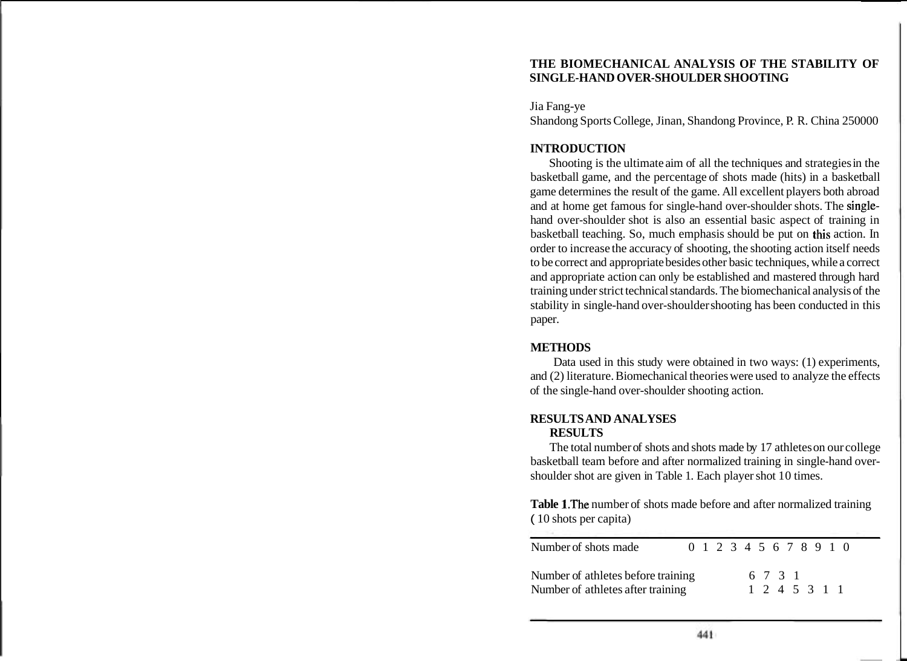# **THE BIOMECHANICAL ANALYSIS OF THE STABILITY OF SINGLE-HAND OVER-SHOULDER SHOOTING**

Jia Fang-ye Shandong Sports College, Jinan, Shandong Province, P. R. China 250000

# **INTRODUCTION**

Shooting is the ultimate aim of all the techniques and strategies in the basketball game, and the percentage of shots made (hits) in a basketball game determines the result of the game. All excellent players both abroad and at home get famous for single-hand over-shoulder shots. The singlehand over-shoulder shot is also an essential basic aspect of training in basketball teaching. So, much emphasis should be put on this action. In order to increase the accuracy of shooting, the shooting action itself needs to be correct and appropriate besides other basic techniques, while a correct and appropriate action can only be established and mastered through hard training under strict technical standards. The biomechanical analysis of the stability in single-hand over-shoulder shooting has been conducted in this paper.

## **METHODS**

Data used in this study were obtained in two ways: (1) experiments, and (2) literature. Biomechanical theories were used to analyze the effects of the single-hand over-shoulder shooting action.

## **RESULTS AND ANALYSES RESULTS**

The total number of shots and shots made by 17 athletes on our college basketball team before and after normalized training in single-hand overshoulder shot are given in Table 1. Each player shot 10 times.

**Table** 1.The number of shots made before and after normalized training ( 10 shots per capita)

| Number of shots made                                                    |  |  |  |                          |  |  | 0 1 2 3 4 5 6 7 8 9 1 0 |  |
|-------------------------------------------------------------------------|--|--|--|--------------------------|--|--|-------------------------|--|
| Number of athletes before training<br>Number of athletes after training |  |  |  | 6 7 3 1<br>1 2 4 5 3 1 1 |  |  |                         |  |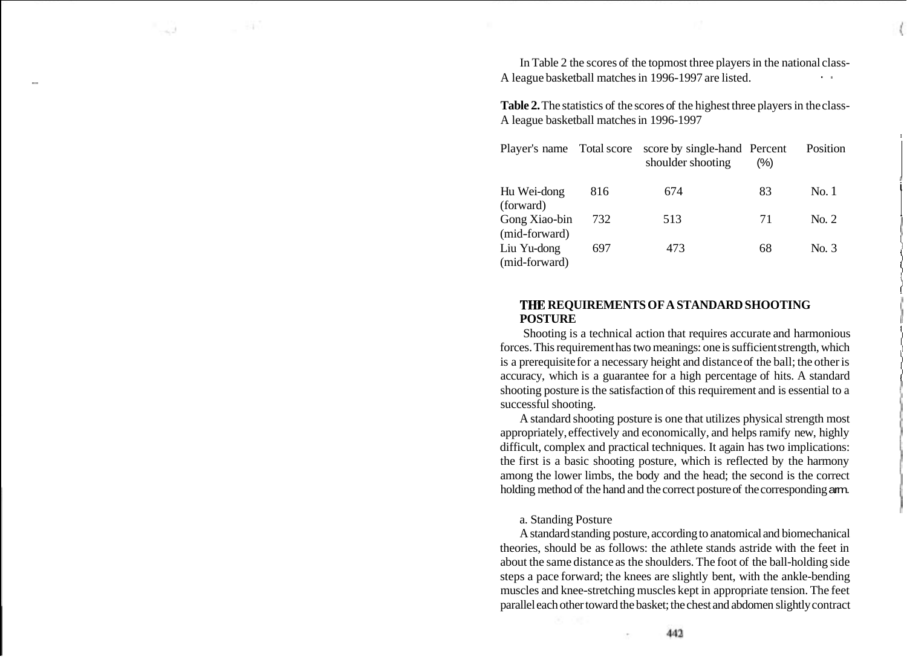In Table 2 the scores of the topmost three players in the national class-A league basketball matches in 1996-1997 are listed.

**Table 2.** The statistics of the scores of the highest three players in the class-A league basketball matches in 1996-1997

| Player's name Total score      |     | score by single-hand Percent<br>shoulder shooting | $(\%)$ | Position |
|--------------------------------|-----|---------------------------------------------------|--------|----------|
| Hu Wei-dong<br>(forward)       | 816 | 674                                               | 83     | No. 1    |
| Gong Xiao-bin<br>(mid-forward) | 732 | 513                                               | 71     | No. 2    |
| Liu Yu-dong<br>(mid-forward)   | 697 | 473                                               | 68     | No. 3    |

## **THE REQUIREMENTS OF A STANDARD SHOOTING POSTURE** <sup>1</sup>**<sup>I</sup>**

Shooting is a technical action that requires accurate and harmonious forces. This requirement has two meanings: one is sufficient strength, which is a prerequisite for a necessary height and distance of the ball; the other is accuracy, which is a guarantee for a high percentage of hits. A standard shooting posture is the satisfaction of this requirement and is essential to a successful shooting.

A standard shooting posture is one that utilizes physical strength most appropriately, effectively and economically, and helps ramify new, highly difficult, complex and practical techniques. It again has two implications: the first is a basic shooting posture, which is reflected by the harmony among the lower limbs, the body and the head; the second is the correct holding method of the hand and the correct posture of the corresponding arm.

#### a. Standing Posture

A standard standing posture, according to anatomical and biomechanical theories, should be as follows: the athlete stands astride with the feet in about the same distance as the shoulders. The foot of the ball-holding side steps a pace forward; the knees are slightly bent, with the ankle-bending muscles and knee-stretching muscles kept in appropriate tension. The feet parallel each other toward the basket; the chest and abdomen slightly contract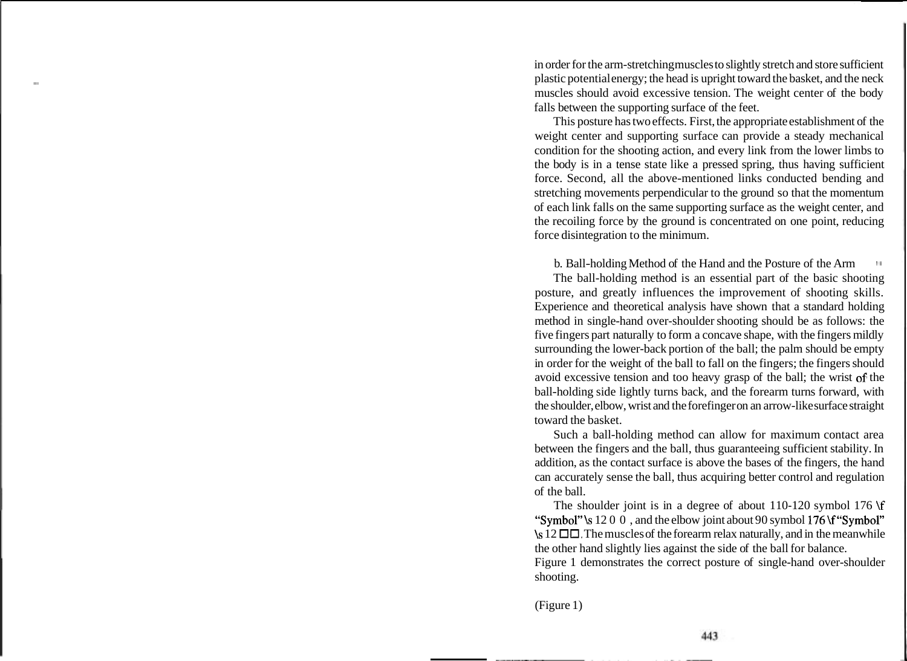in order for the arm-stretching muscles to slightly stretch and store sufficient - plastic potential energy; the head is upright toward the basket, and the neck muscles should avoid excessive tension. The weight center of the body falls between the supporting surface of the feet.

This posture has two effects. First, the appropriate establishment of the weight center and supporting surface can provide a steady mechanical condition for the shooting action, and every link from the lower limbs to the body is in a tense state like a pressed spring, thus having sufficient force. Second, all the above-mentioned links conducted bending and stretching movements perpendicular to the ground so that the momentum of each link falls on the same supporting surface as the weight center, and the recoiling force by the ground is concentrated on one point, reducing force disintegration to the minimum.

b. Ball-holding Method of the Hand and the Posture of the Arm  $\frac{1}{1}$ 

The ball-holding method is an essential part of the basic shooting posture, and greatly influences the improvement of shooting skills. Experience and theoretical analysis have shown that a standard holding method in single-hand over-shoulder shooting should be as follows: the five fingers part naturally to form a concave shape, with the fingers mildly surrounding the lower-back portion of the ball; the palm should be empty in order for the weight of the ball to fall on the fingers; the fingers should avoid excessive tension and too heavy grasp of the ball; the wrist of the ball-holding side lightly turns back, and the forearm turns forward, with the shoulder, elbow, wrist and the forefinger on an arrow-like surface straight toward the basket.

Such a ball-holding method can allow for maximum contact area between the fingers and the ball, thus guaranteeing sufficient stability. In addition, as the contact surface is above the bases of the fingers, the hand can accurately sense the ball, thus acquiring better control and regulation of the ball.

The shoulder joint is in a degree of about 110-120 symbol 176 **\f**  "Symbol" \s 12 0 0, and the elbow joint about 90 symbol 176 \f "Symbol" \s 12 **00.** The muscles of the forearm relax naturally, and in the meanwhile the other hand slightly lies against the side of the ball for balance.

Figure 1 demonstrates the correct posture of single-hand over-shoulder shooting.

(Figure 1)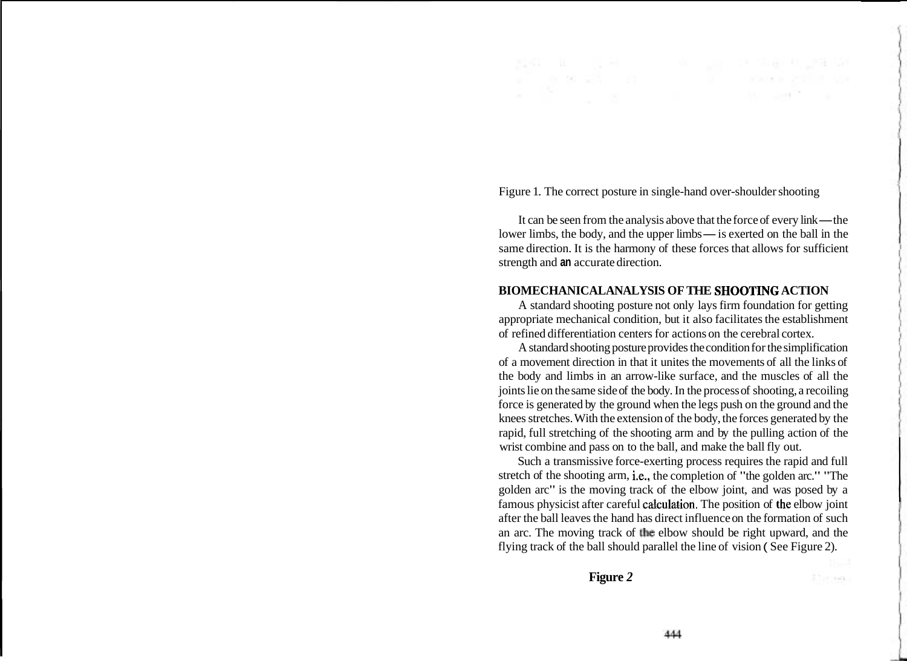Figure 1. The correct posture in single-hand over-shoulder shooting

It can be seen from the analysis above that the force of every link— the lower limbs, the body, and the upper limbs— is exerted on the ball in the same direction. It is the harmony of these forces that allows for sufficient strength and **an** accurate direction.

### **BIOMECHANICAL ANALYSIS OF THE SHOOTJNG ACTION**

A standard shooting posture not only lays firm foundation for getting appropriate mechanical condition, but it also facilitates the establishment of refined differentiation centers for actions on the cerebral cortex.

A standard shooting posture provides the condition for the simplification of a movement direction in that it unites the movements of all the links of the body and limbs in an arrow-like surface, and the muscles of all the joints lie on the same side of the body. In the process of shooting, a recoiling force is generated by the ground when the legs push on the ground and the knees stretches. With the extension of the body, the forces generated by the rapid, full stretching of the shooting arm and by the pulling action of the wrist combine and pass on to the ball, and make the ball fly out.

Such a transmissive force-exerting process requires the rapid and full stretch of the shooting arm, i.e., the completion of "the golden arc." "The golden arc" is the moving track of the elbow joint, and was posed by a famous physicist after careful calculation. The position of the elbow joint after the ball leaves the hand has direct influence on the formation of such an arc. The moving track of the elbow should be right upward, and the flying track of the ball should parallel the line of vision ( See Figure 2).

**Figure** *2* 

Ilacean,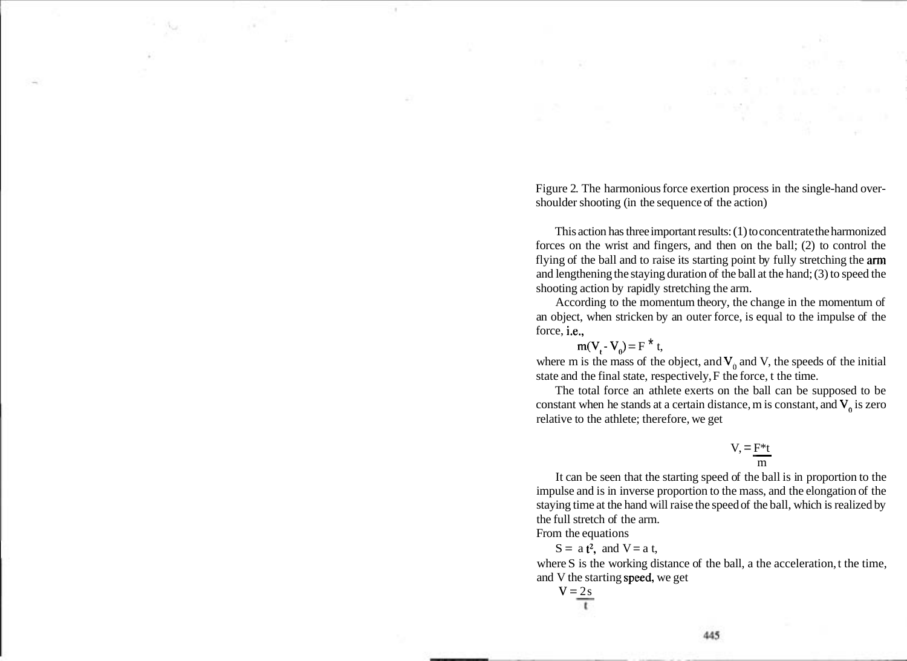Figure 2. The harmonious force exertion process in the single-hand overshoulder shooting (in the sequence of the action)

This action has three important results: (1) to concentrate the harmonized forces on the wrist and fingers, and then on the ball; (2) to control the flying of the ball and to raise its starting point by fully stretching the arm and lengthening the staying duration of the ball at the hand; (3) to speed the shooting action by rapidly stretching the arm.

According to the momentum theory, the change in the momentum of an object, when stricken by an outer force, is equal to the impulse of the force, i.e.,

 $m(V - V_0) = F^* t$ ,

where m is the mass of the object, and  $V_0$  and V, the speeds of the initial state and the final state, respectively, F the force, t the time.

The total force an athlete exerts on the ball can be supposed to be constant when he stands at a certain distance, m is constant, and  $V_a$  is zero relative to the athlete; therefore, we get mce, m is cons<br>
V,  $=$   $\frac{F*t}{m}$ 

$$
V = \frac{F^*t}{m}
$$

It can be seen that the starting speed of the ball is in proportion to the impulse and is in inverse proportion to the mass, and the elongation of the staying time at the hand will raise the speed of the ball, which is realized by the full stretch of the arm.

From the equations

 $S = a t^2$ , and  $V = a t$ ,

where S is the working distance of the ball, a the acceleration, t the time, and V the starting speed, we get

$$
V = \frac{2s}{t}
$$